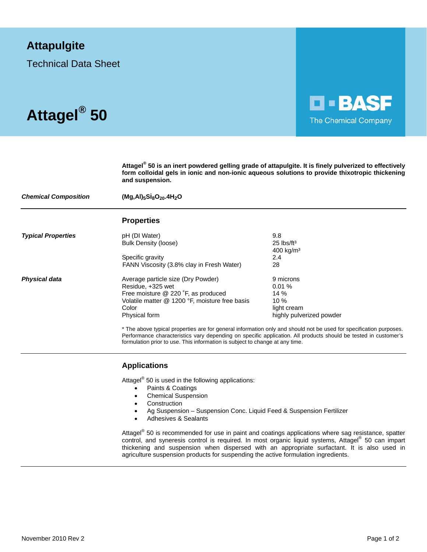## **Attapulgite**

Technical Data Sheet



**Attagel® 50 is an inert powdered gelling grade of attapulgite. It is finely pulverized to effectively form colloidal gels in ionic and non-ionic aqueous solutions to provide thixotropic thickening and suspension.** 

**D-BASF** 

The Chemical Company

| <b>Chemical Composition</b> | $(Mg, Al)_5Si_8O_{20}.4H_2O$                                                                                                                                               |                                                                                                                                                                                                                                       |
|-----------------------------|----------------------------------------------------------------------------------------------------------------------------------------------------------------------------|---------------------------------------------------------------------------------------------------------------------------------------------------------------------------------------------------------------------------------------|
|                             | <b>Properties</b>                                                                                                                                                          |                                                                                                                                                                                                                                       |
| <b>Typical Properties</b>   | pH (DI Water)<br>Bulk Density (loose)                                                                                                                                      | 9.8<br>$25$ lbs/ft <sup>3</sup><br>$400$ kg/m <sup>3</sup>                                                                                                                                                                            |
|                             | Specific gravity<br>FANN Viscosity (3.8% clay in Fresh Water)                                                                                                              | 2.4<br>28                                                                                                                                                                                                                             |
| <b>Physical data</b>        | Average particle size (Dry Powder)<br>Residue, +325 wet<br>Free moisture @ 220 °F, as produced<br>Volatile matter @ 1200 °F, moisture free basis<br>Color<br>Physical form | 9 microns<br>0.01%<br>14 $%$<br>10 $%$<br>light cream<br>highly pulverized powder                                                                                                                                                     |
|                             |                                                                                                                                                                            | * The above typical properties are for general information only and should not be used for specification purposes.<br>Performance characteristics vary depending on specific application. All products should be tested in customer's |

formulation prior to use. This information is subject to change at any time.

 **Applications** 

Attagel<sup>®</sup> 50 is used in the following applications:

- Paints & Coatings
- Chemical Suspension
- Construction
- Ag Suspension Suspension Conc. Liquid Feed & Suspension Fertilizer
- Adhesives & Sealants

Attagel<sup>®</sup> 50 is recommended for use in paint and coatings applications where sag resistance, spatter control, and syneresis control is required. In most organic liquid systems, Attagel® 50 can impart thickening and suspension when dispersed with an appropriate surfactant. It is also used in agriculture suspension products for suspending the active formulation ingredients.